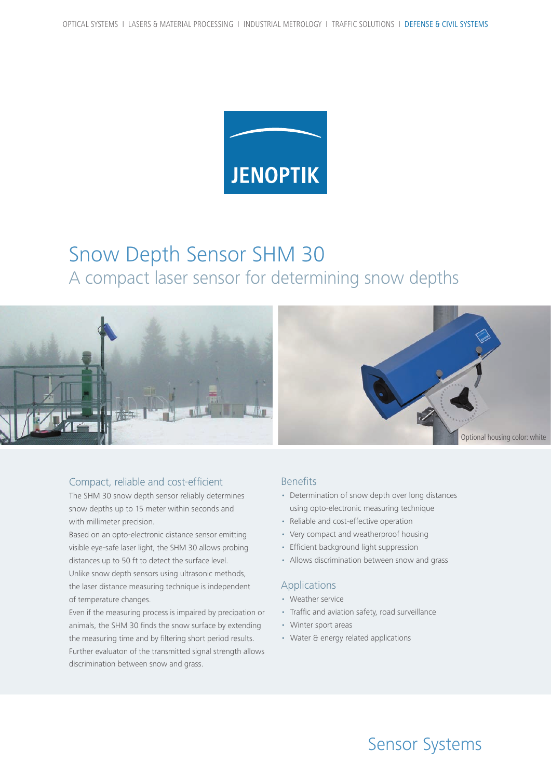

# Snow Depth Sensor SHM 30 A compact laser sensor for determining snow depths



### Compact, reliable and cost-efficient

The SHM 30 snow depth sensor reliably determines snow depths up to 15 meter within seconds and with millimeter precision.

Based on an opto-electronic distance sensor emitting visible eye-safe laser light, the SHM 30 allows probing distances up to 50 ft to detect the surface level. Unlike snow depth sensors using ultrasonic methods,

the laser distance measuring technique is independent of temperature changes.

Even if the measuring process is impaired by precipation or animals, the SHM 30 finds the snow surface by extending the measuring time and by filtering short period results. Further evaluaton of the transmitted signal strength allows discrimination between snow and grass.

### Benefits

- Determination of snow depth over long distances using opto-electronic measuring technique
- Reliable and cost-effective operation
- Very compact and weatherproof housing
- Efficient background light suppression
- Allows discrimination between snow and grass

#### Applications

- Weather service
- Traffic and aviation safety, road surveillance
- Winter sport areas
- Water & energy related applications

# Sensor Systems